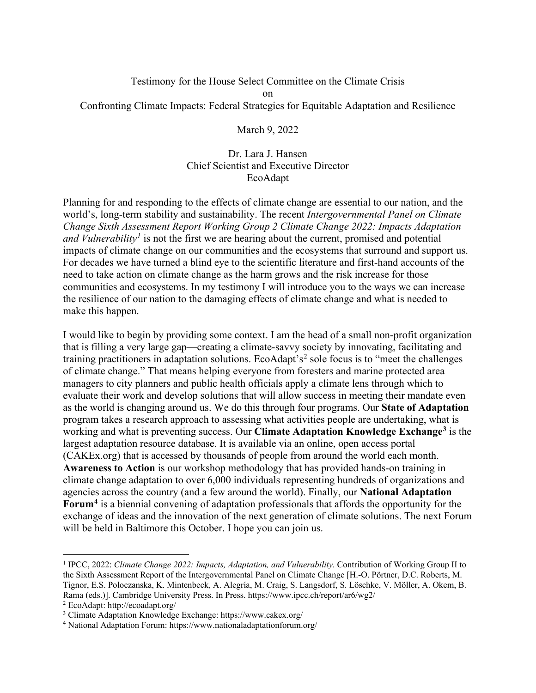#### Testimony for the House Select Committee on the Climate Crisis on Confronting Climate Impacts: Federal Strategies for Equitable Adaptation and Resilience

March 9, 2022

#### Dr. Lara J. Hansen Chief Scientist and Executive Director EcoAdapt

Planning for and responding to the effects of climate change are essential to our nation, and the world's, long-term stability and sustainability. The recent *Intergovernmental Panel on Climate Change Sixth Assessment Report Working Group 2 Climate Change 2022: Impacts Adaptation and Vulnerability<sup>[1](#page-0-0)</sup>* is not the first we are hearing about the current, promised and potential impacts of climate change on our communities and the ecosystems that surround and support us. For decades we have turned a blind eye to the scientific literature and first-hand accounts of the need to take action on climate change as the harm grows and the risk increase for those communities and ecosystems. In my testimony I will introduce you to the ways we can increase the resilience of our nation to the damaging effects of climate change and what is needed to make this happen.

I would like to begin by providing some context. I am the head of a small non-profit organization that is filling a very large gap—creating a climate-savvy society by innovating, facilitating and training practitioners in adaptation solutions. EcoAdapt's<sup>[2](#page-0-1)</sup> sole focus is to "meet the challenges" of climate change." That means helping everyone from foresters and marine protected area managers to city planners and public health officials apply a climate lens through which to evaluate their work and develop solutions that will allow success in meeting their mandate even as the world is changing around us. We do this through four programs. Our **State of Adaptation** program takes a research approach to assessing what activities people are undertaking, what is working and what is preventing success. Our **Climate Adaptation Knowledge Exchange[3](#page-0-2)** is the largest adaptation resource database. It is available via an online, open access portal (CAKEx.org) that is accessed by thousands of people from around the world each month. **Awareness to Action** is our workshop methodology that has provided hands-on training in climate change adaptation to over 6,000 individuals representing hundreds of organizations and agencies across the country (and a few around the world). Finally, our **National Adaptation Forum[4](#page-0-3)** is a biennial convening of adaptation professionals that affords the opportunity for the exchange of ideas and the innovation of the next generation of climate solutions. The next Forum will be held in Baltimore this October. I hope you can join us.

<span id="page-0-0"></span><sup>1</sup> IPCC, 2022: *Climate Change 2022: Impacts, Adaptation, and Vulnerability.* Contribution of Working Group II to the Sixth Assessment Report of the Intergovernmental Panel on Climate Change [H.-O. Pörtner, D.C. Roberts, M. Tignor, E.S. Poloczanska, K. Mintenbeck, A. Alegría, M. Craig, S. Langsdorf, S. Löschke, V. Möller, A. Okem, B. Rama (eds.)]. Cambridge University Press. In Press. https://www.ipcc.ch/report/ar6/wg2/

<span id="page-0-1"></span><sup>2</sup> EcoAdapt: http://ecoadapt.org/

<span id="page-0-2"></span><sup>3</sup> Climate Adaptation Knowledge Exchange: https://www.cakex.org/

<span id="page-0-3"></span><sup>4</sup> National Adaptation Forum: https://www.nationaladaptationforum.org/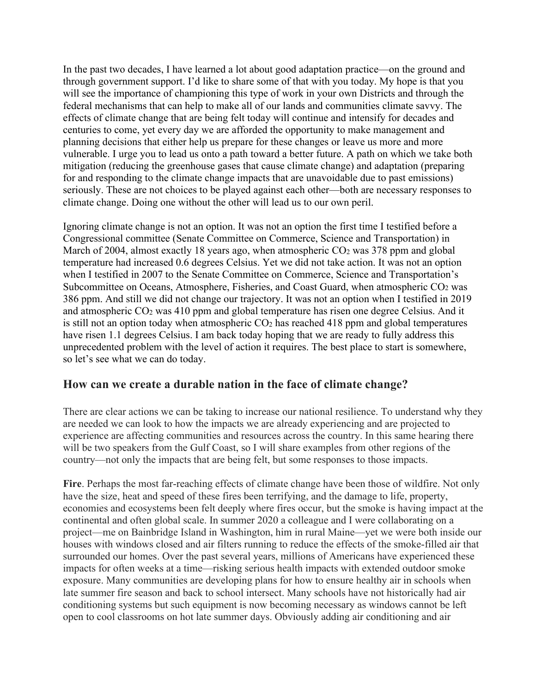In the past two decades, I have learned a lot about good adaptation practice—on the ground and through government support. I'd like to share some of that with you today. My hope is that you will see the importance of championing this type of work in your own Districts and through the federal mechanisms that can help to make all of our lands and communities climate savvy. The effects of climate change that are being felt today will continue and intensify for decades and centuries to come, yet every day we are afforded the opportunity to make management and planning decisions that either help us prepare for these changes or leave us more and more vulnerable. I urge you to lead us onto a path toward a better future. A path on which we take both mitigation (reducing the greenhouse gases that cause climate change) and adaptation (preparing for and responding to the climate change impacts that are unavoidable due to past emissions) seriously. These are not choices to be played against each other—both are necessary responses to climate change. Doing one without the other will lead us to our own peril.

Ignoring climate change is not an option. It was not an option the first time I testified before a Congressional committee (Senate Committee on Commerce, Science and Transportation) in March of 2004, almost exactly 18 years ago, when atmospheric CO<sub>2</sub> was 378 ppm and global temperature had increased 0.6 degrees Celsius. Yet we did not take action. It was not an option when I testified in 2007 to the Senate Committee on Commerce, Science and Transportation's Subcommittee on Oceans, Atmosphere, Fisheries, and Coast Guard, when atmospheric CO<sub>2</sub> was 386 ppm. And still we did not change our trajectory. It was not an option when I testified in 2019 and atmospheric CO2 was 410 ppm and global temperature has risen one degree Celsius. And it is still not an option today when atmospheric  $CO<sub>2</sub>$  has reached 418 ppm and global temperatures have risen 1.1 degrees Celsius. I am back today hoping that we are ready to fully address this unprecedented problem with the level of action it requires. The best place to start is somewhere, so let's see what we can do today.

## **How can we create a durable nation in the face of climate change?**

There are clear actions we can be taking to increase our national resilience. To understand why they are needed we can look to how the impacts we are already experiencing and are projected to experience are affecting communities and resources across the country. In this same hearing there will be two speakers from the Gulf Coast, so I will share examples from other regions of the country—not only the impacts that are being felt, but some responses to those impacts.

**Fire**. Perhaps the most far-reaching effects of climate change have been those of wildfire. Not only have the size, heat and speed of these fires been terrifying, and the damage to life, property, economies and ecosystems been felt deeply where fires occur, but the smoke is having impact at the continental and often global scale. In summer 2020 a colleague and I were collaborating on a project—me on Bainbridge Island in Washington, him in rural Maine—yet we were both inside our houses with windows closed and air filters running to reduce the effects of the smoke-filled air that surrounded our homes. Over the past several years, millions of Americans have experienced these impacts for often weeks at a time—risking serious health impacts with extended outdoor smoke exposure. Many communities are developing plans for how to ensure healthy air in schools when late summer fire season and back to school intersect. Many schools have not historically had air conditioning systems but such equipment is now becoming necessary as windows cannot be left open to cool classrooms on hot late summer days. Obviously adding air conditioning and air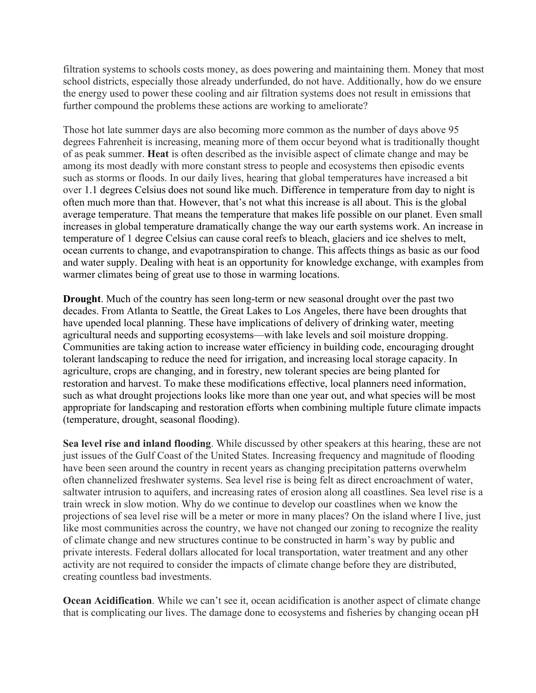filtration systems to schools costs money, as does powering and maintaining them. Money that most school districts, especially those already underfunded, do not have. Additionally, how do we ensure the energy used to power these cooling and air filtration systems does not result in emissions that further compound the problems these actions are working to ameliorate?

Those hot late summer days are also becoming more common as the number of days above 95 degrees Fahrenheit is increasing, meaning more of them occur beyond what is traditionally thought of as peak summer. **Heat** is often described as the invisible aspect of climate change and may be among its most deadly with more constant stress to people and ecosystems then episodic events such as storms or floods. In our daily lives, hearing that global temperatures have increased a bit over 1.1 degrees Celsius does not sound like much. Difference in temperature from day to night is often much more than that. However, that's not what this increase is all about. This is the global average temperature. That means the temperature that makes life possible on our planet. Even small increases in global temperature dramatically change the way our earth systems work. An increase in temperature of 1 degree Celsius can cause coral reefs to bleach, glaciers and ice shelves to melt, ocean currents to change, and evapotranspiration to change. This affects things as basic as our food and water supply. Dealing with heat is an opportunity for knowledge exchange, with examples from warmer climates being of great use to those in warming locations.

**Drought**. Much of the country has seen long-term or new seasonal drought over the past two decades. From Atlanta to Seattle, the Great Lakes to Los Angeles, there have been droughts that have upended local planning. These have implications of delivery of drinking water, meeting agricultural needs and supporting ecosystems—with lake levels and soil moisture dropping. Communities are taking action to increase water efficiency in building code, encouraging drought tolerant landscaping to reduce the need for irrigation, and increasing local storage capacity. In agriculture, crops are changing, and in forestry, new tolerant species are being planted for restoration and harvest. To make these modifications effective, local planners need information, such as what drought projections looks like more than one year out, and what species will be most appropriate for landscaping and restoration efforts when combining multiple future climate impacts (temperature, drought, seasonal flooding).

**Sea level rise and inland flooding**. While discussed by other speakers at this hearing, these are not just issues of the Gulf Coast of the United States. Increasing frequency and magnitude of flooding have been seen around the country in recent years as changing precipitation patterns overwhelm often channelized freshwater systems. Sea level rise is being felt as direct encroachment of water, saltwater intrusion to aquifers, and increasing rates of erosion along all coastlines. Sea level rise is a train wreck in slow motion. Why do we continue to develop our coastlines when we know the projections of sea level rise will be a meter or more in many places? On the island where I live, just like most communities across the country, we have not changed our zoning to recognize the reality of climate change and new structures continue to be constructed in harm's way by public and private interests. Federal dollars allocated for local transportation, water treatment and any other activity are not required to consider the impacts of climate change before they are distributed, creating countless bad investments.

**Ocean Acidification**. While we can't see it, ocean acidification is another aspect of climate change that is complicating our lives. The damage done to ecosystems and fisheries by changing ocean pH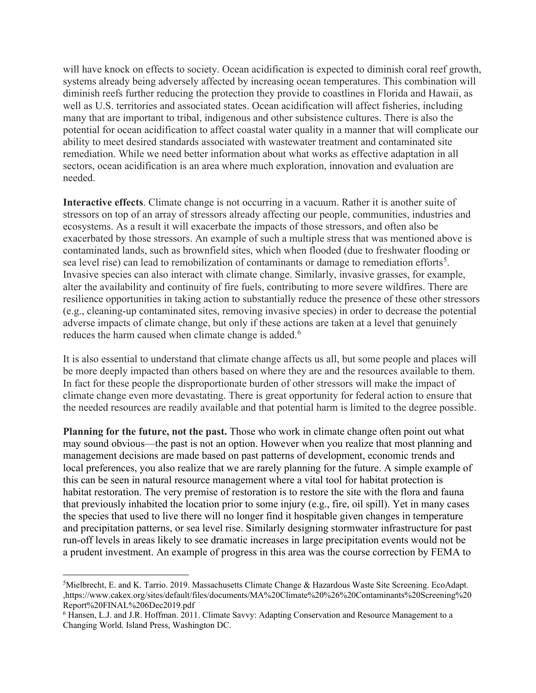will have knock on effects to society. Ocean acidification is expected to diminish coral reef growth, systems already being adversely affected by increasing ocean temperatures. This combination will diminish reefs further reducing the protection they provide to coastlines in Florida and Hawaii, as well as U.S. territories and associated states. Ocean acidification will affect fisheries, including many that are important to tribal, indigenous and other subsistence cultures. There is also the potential for ocean acidification to affect coastal water quality in a manner that will complicate our ability to meet desired standards associated with wastewater treatment and contaminated site remediation. While we need better information about what works as effective adaptation in all sectors, ocean acidification is an area where much exploration, innovation and evaluation are needed.

**Interactive effects**. Climate change is not occurring in a vacuum. Rather it is another suite of stressors on top of an array of stressors already affecting our people, communities, industries and ecosystems. As a result it will exacerbate the impacts of those stressors, and often also be exacerbated by those stressors. An example of such a multiple stress that was mentioned above is contaminated lands, such as brownfield sites, which when flooded (due to freshwater flooding or sea level rise) can lead to remobilization of contaminants or damage to remediation efforts<sup>[5](#page-3-0)</sup>. Invasive species can also interact with climate change. Similarly, invasive grasses, for example, alter the availability and continuity of fire fuels, contributing to more severe wildfires. There are resilience opportunities in taking action to substantially reduce the presence of these other stressors (e.g., cleaning-up contaminated sites, removing invasive species) in order to decrease the potential adverse impacts of climate change, but only if these actions are taken at a level that genuinely reduces the harm caused when climate change is added.<sup>[6](#page-3-1)</sup>

It is also essential to understand that climate change affects us all, but some people and places will be more deeply impacted than others based on where they are and the resources available to them. In fact for these people the disproportionate burden of other stressors will make the impact of climate change even more devastating. There is great opportunity for federal action to ensure that the needed resources are readily available and that potential harm is limited to the degree possible.

**Planning for the future, not the past.** Those who work in climate change often point out what may sound obvious—the past is not an option. However when you realize that most planning and management decisions are made based on past patterns of development, economic trends and local preferences, you also realize that we are rarely planning for the future. A simple example of this can be seen in natural resource management where a vital tool for habitat protection is habitat restoration. The very premise of restoration is to restore the site with the flora and fauna that previously inhabited the location prior to some injury (e.g., fire, oil spill). Yet in many cases the species that used to live there will no longer find it hospitable given changes in temperature and precipitation patterns, or sea level rise. Similarly designing stormwater infrastructure for past run-off levels in areas likely to see dramatic increases in large precipitation events would not be a prudent investment. An example of progress in this area was the course correction by FEMA to

<span id="page-3-0"></span><sup>&</sup>lt;sup>5</sup>Mielbrecht, E. and K. Tarrio. 2019. Massachusetts Climate Change & Hazardous Waste Site Screening. EcoAdapt. ,https://www.cakex.org/sites/default/files/documents/MA%20Climate%20%26%20Contaminants%20Screening%20 Report%20FINAL%206Dec2019.pdf

<span id="page-3-1"></span><sup>6</sup> Hansen, L.J. and J.R. Hoffman. 2011. Climate Savvy: Adapting Conservation and Resource Management to a Changing World. Island Press, Washington DC.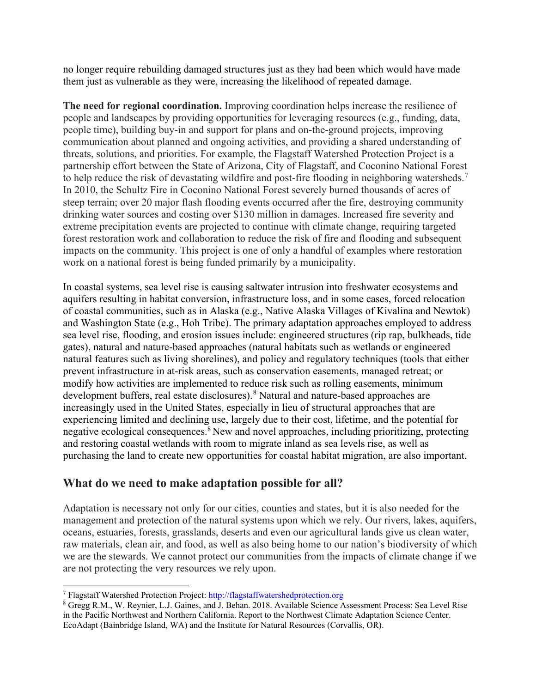no longer require rebuilding damaged structures just as they had been which would have made them just as vulnerable as they were, increasing the likelihood of repeated damage.

**The need for regional coordination.** Improving coordination helps increase the resilience of people and landscapes by providing opportunities for leveraging resources (e.g., funding, data, people time), building buy-in and support for plans and on-the-ground projects, improving communication about planned and ongoing activities, and providing a shared understanding of threats, solutions, and priorities. For example, the Flagstaff Watershed Protection Project is a partnership effort between the State of Arizona, City of Flagstaff, and Coconino National Forest to help reduce the risk of devastating wildfire and post-fire flooding in neighboring watersheds.<sup>[7](#page-4-1)</sup> In 2010, the Schultz Fire in Coconino National Forest severely burned thousands of acres of steep terrain; over 20 major flash flooding events occurred after the fire, destroying community drinking water sources and costing over \$130 million in damages. Increased fire severity and extreme precipitation events are projected to continue with climate change, requiring targeted forest restoration work and collaboration to reduce the risk of fire and flooding and subsequent impacts on the community. This project is one of only a handful of examples where restoration work on a national forest is being funded primarily by a municipality.

In coastal systems, sea level rise is causing saltwater intrusion into freshwater ecosystems and aquifers resulting in habitat conversion, infrastructure loss, and in some cases, forced relocation of coastal communities, such as in Alaska (e.g., Native Alaska Villages of Kivalina and Newtok) and Washington State (e.g., Hoh Tribe). The primary adaptation approaches employed to address sea level rise, flooding, and erosion issues include: engineered structures (rip rap, bulkheads, tide gates), natural and nature-based approaches (natural habitats such as wetlands or engineered natural features such as living shorelines), and policy and regulatory techniques (tools that either prevent infrastructure in at-risk areas, such as conservation easements, managed retreat; or modify how activities are implemented to reduce risk such as rolling easements, minimum development buffers, real estate disclosures).<sup>[8](#page-4-2)</sup> Natural and nature-based approaches are increasingly used in the United States, especially in lieu of structural approaches that are experiencing limited and declining use, largely due to their cost, lifetime, and the potential for negative ecological consequences.<sup>[8](#page-4-0)</sup> New and novel approaches, including prioritizing, protecting and restoring coastal wetlands with room to migrate inland as sea levels rise, as well as purchasing the land to create new opportunities for coastal habitat migration, are also important.

## <span id="page-4-0"></span>**What do we need to make adaptation possible for all?**

Adaptation is necessary not only for our cities, counties and states, but it is also needed for the management and protection of the natural systems upon which we rely. Our rivers, lakes, aquifers, oceans, estuaries, forests, grasslands, deserts and even our agricultural lands give us clean water, raw materials, clean air, and food, as well as also being home to our nation's biodiversity of which we are the stewards. We cannot protect our communities from the impacts of climate change if we are not protecting the very resources we rely upon.

<span id="page-4-1"></span><sup>7</sup> Flagstaff Watershed Protection Project: [http://flagstaffwatershedprotection.org](http://flagstaffwatershedprotection.org/)

<span id="page-4-2"></span><sup>8</sup> Gregg R.M., W. Reynier, L.J. Gaines, and J. Behan. 2018. Available Science Assessment Process: Sea Level Rise in the Pacific Northwest and Northern California. Report to the Northwest Climate Adaptation Science Center. EcoAdapt (Bainbridge Island, WA) and the Institute for Natural Resources (Corvallis, OR).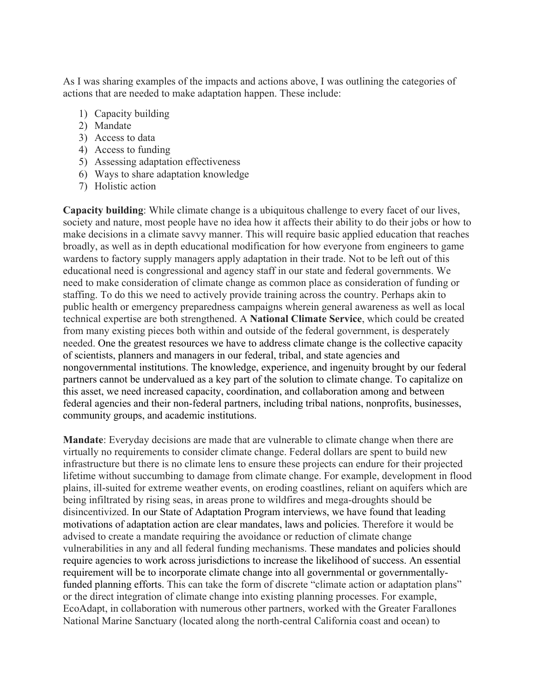As I was sharing examples of the impacts and actions above, I was outlining the categories of actions that are needed to make adaptation happen. These include:

- 1) Capacity building
- 2) Mandate
- 3) Access to data
- 4) Access to funding
- 5) Assessing adaptation effectiveness
- 6) Ways to share adaptation knowledge
- 7) Holistic action

**Capacity building**: While climate change is a ubiquitous challenge to every facet of our lives, society and nature, most people have no idea how it affects their ability to do their jobs or how to make decisions in a climate savvy manner. This will require basic applied education that reaches broadly, as well as in depth educational modification for how everyone from engineers to game wardens to factory supply managers apply adaptation in their trade. Not to be left out of this educational need is congressional and agency staff in our state and federal governments. We need to make consideration of climate change as common place as consideration of funding or staffing. To do this we need to actively provide training across the country. Perhaps akin to public health or emergency preparedness campaigns wherein general awareness as well as local technical expertise are both strengthened. A **National Climate Service**, which could be created from many existing pieces both within and outside of the federal government, is desperately needed. One the greatest resources we have to address climate change is the collective capacity of scientists, planners and managers in our federal, tribal, and state agencies and nongovernmental institutions. The knowledge, experience, and ingenuity brought by our federal partners cannot be undervalued as a key part of the solution to climate change. To capitalize on this asset, we need increased capacity, coordination, and collaboration among and between federal agencies and their non-federal partners, including tribal nations, nonprofits, businesses, community groups, and academic institutions.

**Mandate**: Everyday decisions are made that are vulnerable to climate change when there are virtually no requirements to consider climate change. Federal dollars are spent to build new infrastructure but there is no climate lens to ensure these projects can endure for their projected lifetime without succumbing to damage from climate change. For example, development in flood plains, ill-suited for extreme weather events, on eroding coastlines, reliant on aquifers which are being infiltrated by rising seas, in areas prone to wildfires and mega-droughts should be disincentivized. In our State of Adaptation Program interviews, we have found that leading motivations of adaptation action are clear mandates, laws and policies. Therefore it would be advised to create a mandate requiring the avoidance or reduction of climate change vulnerabilities in any and all federal funding mechanisms. These mandates and policies should require agencies to work across jurisdictions to increase the likelihood of success. An essential requirement will be to incorporate climate change into all governmental or governmentallyfunded planning efforts. This can take the form of discrete "climate action or adaptation plans" or the direct integration of climate change into existing planning processes. For example, EcoAdapt, in collaboration with numerous other partners, worked with the Greater Farallones National Marine Sanctuary (located along the north-central California coast and ocean) to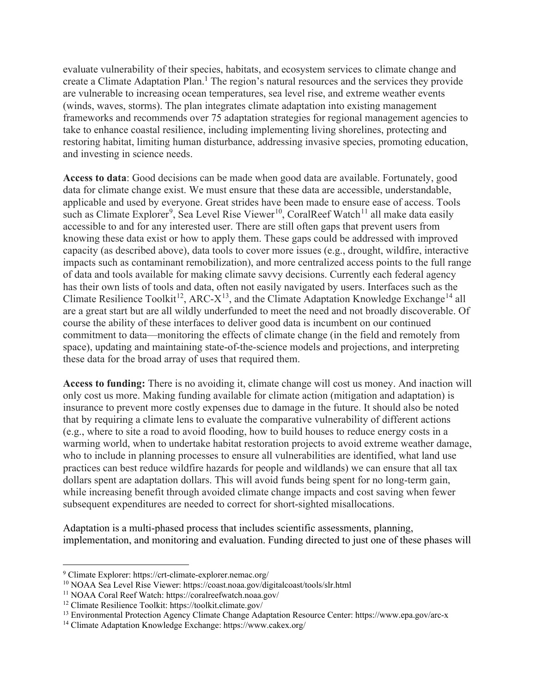evaluate vulnerability of their species, habitats, and ecosystem services to climate change and create a Climate Adaptation Plan.<sup>1</sup> The region's natural resources and the services they provide are vulnerable to increasing ocean temperatures, sea level rise, and extreme weather events (winds, waves, storms). The plan integrates climate adaptation into existing management frameworks and recommends over 75 adaptation strategies for regional management agencies to take to enhance coastal resilience, including implementing living shorelines, protecting and restoring habitat, limiting human disturbance, addressing invasive species, promoting education, and investing in science needs.

**Access to data**: Good decisions can be made when good data are available. Fortunately, good data for climate change exist. We must ensure that these data are accessible, understandable, applicable and used by everyone. Great strides have been made to ensure ease of access. Tools such as Climate Explorer<sup>[9](#page-6-0)</sup>, Sea Level Rise Viewer<sup>[10](#page-6-1)</sup>, CoralReef Watch<sup>[11](#page-6-2)</sup> all make data easily accessible to and for any interested user. There are still often gaps that prevent users from knowing these data exist or how to apply them. These gaps could be addressed with improved capacity (as described above), data tools to cover more issues (e.g., drought, wildfire, interactive impacts such as contaminant remobilization), and more centralized access points to the full range of data and tools available for making climate savvy decisions. Currently each federal agency has their own lists of tools and data, often not easily navigated by users. Interfaces such as the Climate Resilience Toolkit<sup>12</sup>, ARC- $X^{13}$ , and the Climate Adaptation Knowledge Exchange<sup>[14](#page-6-5)</sup> all are a great start but are all wildly underfunded to meet the need and not broadly discoverable. Of course the ability of these interfaces to deliver good data is incumbent on our continued commitment to data—monitoring the effects of climate change (in the field and remotely from space), updating and maintaining state-of-the-science models and projections, and interpreting these data for the broad array of uses that required them.

**Access to funding:** There is no avoiding it, climate change will cost us money. And inaction will only cost us more. Making funding available for climate action (mitigation and adaptation) is insurance to prevent more costly expenses due to damage in the future. It should also be noted that by requiring a climate lens to evaluate the comparative vulnerability of different actions (e.g., where to site a road to avoid flooding, how to build houses to reduce energy costs in a warming world, when to undertake habitat restoration projects to avoid extreme weather damage, who to include in planning processes to ensure all vulnerabilities are identified, what land use practices can best reduce wildfire hazards for people and wildlands) we can ensure that all tax dollars spent are adaptation dollars. This will avoid funds being spent for no long-term gain, while increasing benefit through avoided climate change impacts and cost saving when fewer subsequent expenditures are needed to correct for short-sighted misallocations.

Adaptation is a multi-phased process that includes scientific assessments, planning, implementation, and monitoring and evaluation. Funding directed to just one of these phases will

<span id="page-6-0"></span><sup>9</sup> Climate Explorer: https://crt-climate-explorer.nemac.org/

<span id="page-6-1"></span><sup>10</sup> NOAA Sea Level Rise Viewer: https://coast.noaa.gov/digitalcoast/tools/slr.html

<span id="page-6-2"></span><sup>11</sup> NOAA Coral Reef Watch: https://coralreefwatch.noaa.gov/

<span id="page-6-3"></span><sup>12</sup> Climate Resilience Toolkit: https://toolkit.climate.gov/

<span id="page-6-4"></span><sup>13</sup> Environmental Protection Agency Climate Change Adaptation Resource Center: https://www.epa.gov/arc-x

<span id="page-6-5"></span><sup>14</sup> Climate Adaptation Knowledge Exchange: https://www.cakex.org/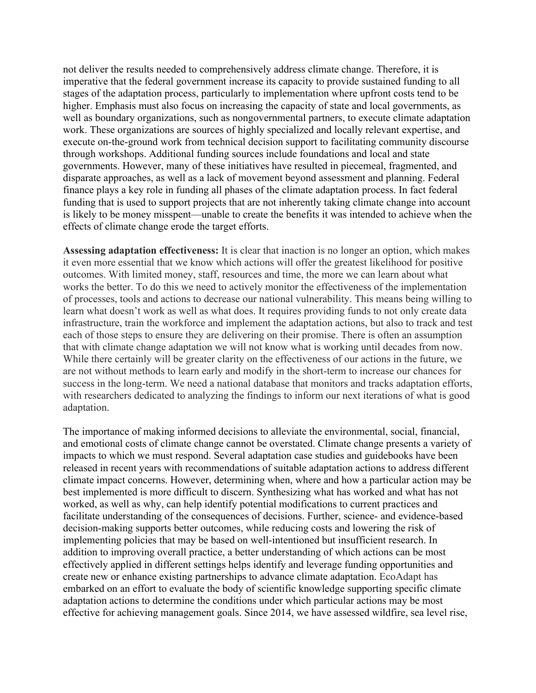not deliver the results needed to comprehensively address climate change. Therefore, it is imperative that the federal government increase its capacity to provide sustained funding to all stages of the adaptation process, particularly to implementation where upfront costs tend to be higher. Emphasis must also focus on increasing the capacity of state and local governments, as well as boundary organizations, such as nongovernmental partners, to execute climate adaptation work. These organizations are sources of highly specialized and locally relevant expertise, and execute on-the-ground work from technical decision support to facilitating community discourse through workshops. Additional funding sources include foundations and local and state governments. However, many of these initiatives have resulted in piecemeal, fragmented, and disparate approaches, as well as a lack of movement beyond assessment and planning. Federal finance plays a key role in funding all phases of the climate adaptation process. In fact federal funding that is used to support projects that are not inherently taking climate change into account is likely to be money misspent—unable to create the benefits it was intended to achieve when the effects of climate change erode the target efforts.

**Assessing adaptation effectiveness:** It is clear that inaction is no longer an option, which makes it even more essential that we know which actions will offer the greatest likelihood for positive outcomes. With limited money, staff, resources and time, the more we can learn about what works the better. To do this we need to actively monitor the effectiveness of the implementation of processes, tools and actions to decrease our national vulnerability. This means being willing to learn what doesn't work as well as what does. It requires providing funds to not only create data infrastructure, train the workforce and implement the adaptation actions, but also to track and test each of those steps to ensure they are delivering on their promise. There is often an assumption that with climate change adaptation we will not know what is working until decades from now. While there certainly will be greater clarity on the effectiveness of our actions in the future, we are not without methods to learn early and modify in the short-term to increase our chances for success in the long-term. We need a national database that monitors and tracks adaptation efforts, with researchers dedicated to analyzing the findings to inform our next iterations of what is good adaptation.

The importance of making informed decisions to alleviate the environmental, social, financial, and emotional costs of climate change cannot be overstated. Climate change presents a variety of impacts to which we must respond. Several adaptation case studies and guidebooks have been released in recent years with recommendations of suitable adaptation actions to address different climate impact concerns. However, determining when, where and how a particular action may be best implemented is more difficult to discern. Synthesizing what has worked and what has not worked, as well as why, can help identify potential modifications to current practices and facilitate understanding of the consequences of decisions. Further, science- and evidence-based decision-making supports better outcomes, while reducing costs and lowering the risk of implementing policies that may be based on well-intentioned but insufficient research. In addition to improving overall practice, a better understanding of which actions can be most effectively applied in different settings helps identify and leverage funding opportunities and create new or enhance existing partnerships to advance climate adaptation. EcoAdapt has embarked on an effort to evaluate the body of scientific knowledge supporting specific climate adaptation actions to determine the conditions under which particular actions may be most effective for achieving management goals. Since 2014, we have assessed wildfire, sea level rise,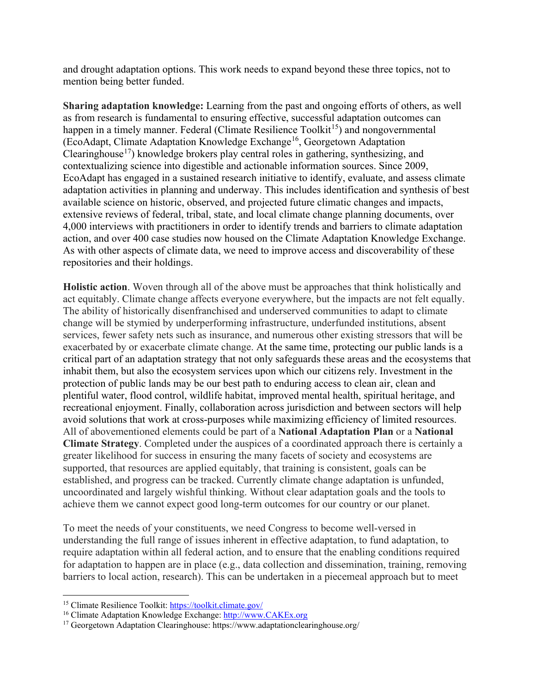and drought adaptation options. This work needs to expand beyond these three topics, not to mention being better funded.

**Sharing adaptation knowledge:** Learning from the past and ongoing efforts of others, as well as from research is fundamental to ensuring effective, successful adaptation outcomes can happen in a timely manner. Federal (Climate Resilience Toolkit<sup>15</sup>) and nongovernmental (EcoAdapt, Climate Adaptation Knowledge Exchange[16](#page-8-1), Georgetown Adaptation Clearinghouse<sup>17</sup>) knowledge brokers play central roles in gathering, synthesizing, and contextualizing science into digestible and actionable information sources. Since 2009, EcoAdapt has engaged in a sustained research initiative to identify, evaluate, and assess climate adaptation activities in planning and underway. This includes identification and synthesis of best available science on historic, observed, and projected future climatic changes and impacts, extensive reviews of federal, tribal, state, and local climate change planning documents, over 4,000 interviews with practitioners in order to identify trends and barriers to climate adaptation action, and over 400 case studies now housed on the Climate Adaptation Knowledge Exchange. As with other aspects of climate data, we need to improve access and discoverability of these repositories and their holdings.

**Holistic action**. Woven through all of the above must be approaches that think holistically and act equitably. Climate change affects everyone everywhere, but the impacts are not felt equally. The ability of historically disenfranchised and underserved communities to adapt to climate change will be stymied by underperforming infrastructure, underfunded institutions, absent services, fewer safety nets such as insurance, and numerous other existing stressors that will be exacerbated by or exacerbate climate change. At the same time, protecting our public lands is a critical part of an adaptation strategy that not only safeguards these areas and the ecosystems that inhabit them, but also the ecosystem services upon which our citizens rely. Investment in the protection of public lands may be our best path to enduring access to clean air, clean and plentiful water, flood control, wildlife habitat, improved mental health, spiritual heritage, and recreational enjoyment. Finally, collaboration across jurisdiction and between sectors will help avoid solutions that work at cross-purposes while maximizing efficiency of limited resources. All of abovementioned elements could be part of a **National Adaptation Plan** or a **National Climate Strategy**. Completed under the auspices of a coordinated approach there is certainly a greater likelihood for success in ensuring the many facets of society and ecosystems are supported, that resources are applied equitably, that training is consistent, goals can be established, and progress can be tracked. Currently climate change adaptation is unfunded, uncoordinated and largely wishful thinking. Without clear adaptation goals and the tools to achieve them we cannot expect good long-term outcomes for our country or our planet.

To meet the needs of your constituents, we need Congress to become well-versed in understanding the full range of issues inherent in effective adaptation, to fund adaptation, to require adaptation within all federal action, and to ensure that the enabling conditions required for adaptation to happen are in place (e.g., data collection and dissemination, training, removing barriers to local action, research). This can be undertaken in a piecemeal approach but to meet

<span id="page-8-0"></span><sup>15</sup> Climate Resilience Toolkit:<https://toolkit.climate.gov/>

<span id="page-8-1"></span><sup>16</sup> Climate Adaptation Knowledge Exchange: [http://www.CAKEx.org](http://www.cakex.org/)

<span id="page-8-2"></span><sup>&</sup>lt;sup>17</sup> Georgetown Adaptation Clearinghouse: https://www.adaptationclearinghouse.org/